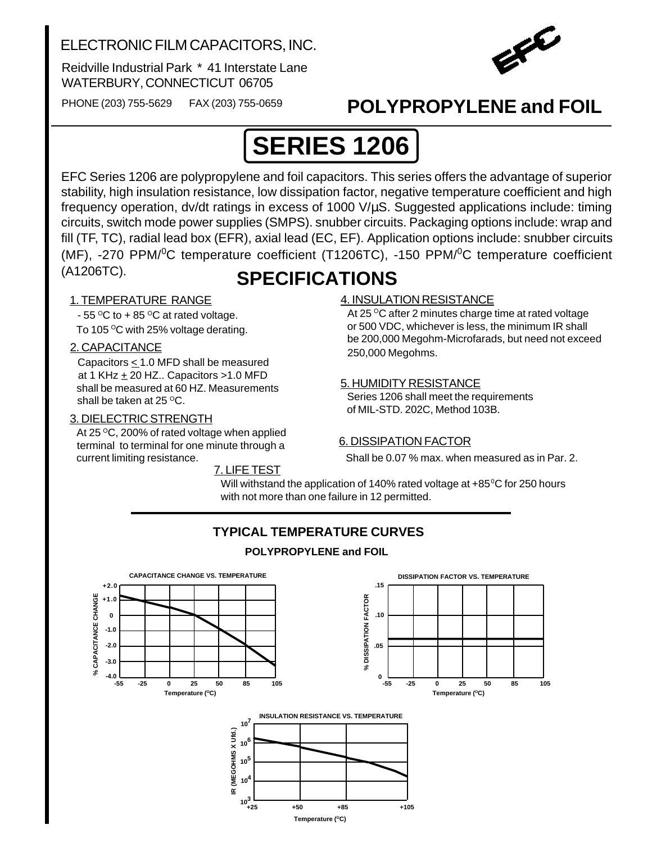### ELECTRONIC FILM CAPACITORS, INC.

Reidville Industrial Park \* 41 Interstate Lane WATERBURY, CONNECTICUT 06705



PHONE (203) 755-5629 FAX (203) 755-0659

## **POLYPROPYLENE and FOIL**

# **SERIES 1206**

EFC Series 1206 are polypropylene and foil capacitors. This series offers the advantage of superior stability, high insulation resistance, low dissipation factor, negative temperature coefficient and high frequency operation, dv/dt ratings in excess of 1000 V/µS. Suggested applications include: timing circuits, switch mode power supplies (SMPS). snubber circuits. Packaging options include: wrap and fill (TF, TC), radial lead box (EFR), axial lead (EC, EF). Application options include: snubber circuits (MF), -270 PPM/<sup>0</sup>C temperature coefficient (T1206TC), -150 PPM/<sup>0</sup>C temperature coefficient (A1206TC).

## **SPECIFICATIONS**

#### 1. TEMPERATURE RANGE

- 55  $\mathrm{^{\circ}C}$  to + 85  $\mathrm{^{\circ}C}$  at rated voltage.

To 105 $\mathrm{^{\circ}C}$  with 25% voltage derating.

#### 2. CAPACITANCE

Capacitors  $\leq 1.0$  MFD shall be measured at 1 KHz  $\pm$  20 HZ.. Capacitors >1.0 MFD shall be measured at 60 HZ. Measurements shall be taken at  $25^{\circ}$ C.

#### 3. DIELECTRIC STRENGTH

At 25 $\degree$ C, 200% of rated voltage when applied terminal to terminal for one minute through a current limiting resistance.

7. LIFE TEST

#### 4. INSULATION RESISTANCE

At 25 °C after 2 minutes charge time at rated voltage or 500 VDC, whichever is less, the minimum IR shall be 200,000 Megohm-Microfarads, but need not exceed 250,000 Megohms.

#### 5. HUMIDITY RESISTANCE

 Series 1206 shall meet the requirements of MIL-STD. 202C, Method 103B.

#### 6. DISSIPATION FACTOR

Shall be 0.07 % max. when measured as in Par. 2.

Will withstand the application of 140% rated voltage at +85°C for 250 hours with not more than one failure in 12 permitted.



Temperature (°C) **+25 +50 +85 +105**

### **TYPICAL TEMPERATURE CURVES**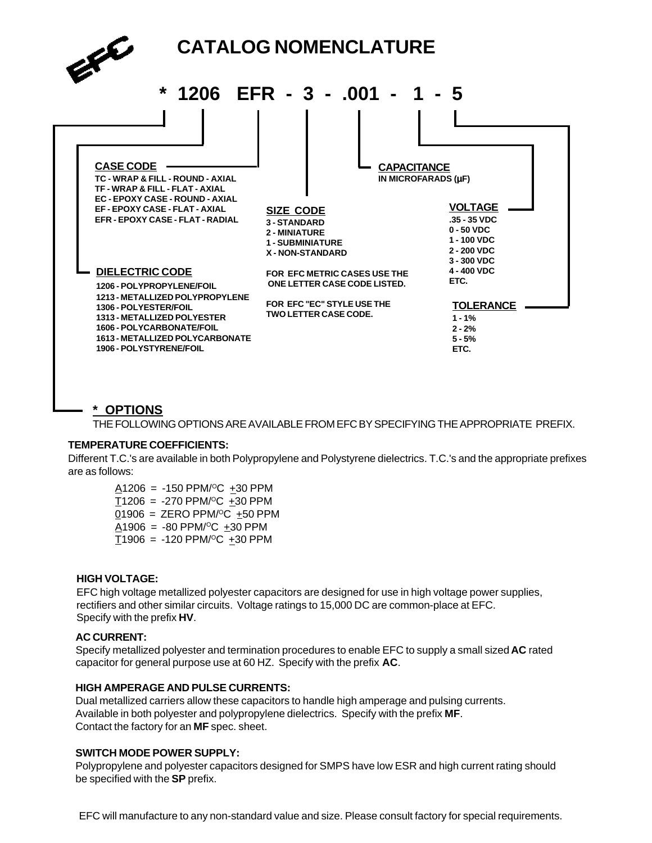

#### **\* OPTIONS**

THE FOLLOWING OPTIONS ARE AVAILABLE FROM EFC BY SPECIFYING THE APPROPRIATE PREFIX.

#### **TEMPERATURE COEFFICIENTS:**

Different T.C.'s are available in both Polypropylene and Polystyrene dielectrics. T.C.'s and the appropriate prefixes are as follows:

 $A1206 = -150$  PPM/<sup>o</sup>C +30 PPM  $T1206 = -270$  PPM/<sup>o</sup>C  $+30$  PPM  $01906 =$  ZERO PPM/<sup>O</sup>C  $\pm 50$  PPM  $A1906 = -80$  PPM/<sup>o</sup>C  $\pm 30$  PPM  $T1906 = -120$  PPM/<sup>o</sup>C +30 PPM

#### **HIGH VOLTAGE:**

EFC high voltage metallized polyester capacitors are designed for use in high voltage power supplies, rectifiers and other similar circuits. Voltage ratings to 15,000 DC are common-place at EFC. Specify with the prefix **HV**.

#### **AC CURRENT:**

Specify metallized polyester and termination procedures to enable EFC to supply a small sized **AC** rated capacitor for general purpose use at 60 HZ. Specify with the prefix **AC**.

#### **HIGH AMPERAGE AND PULSE CURRENTS:**

Dual metallized carriers allow these capacitors to handle high amperage and pulsing currents. Available in both polyester and polypropylene dielectrics. Specify with the prefix **MF**. Contact the factory for an **MF** spec. sheet.

#### **SWITCH MODE POWER SUPPLY:**

Polypropylene and polyester capacitors designed for SMPS have low ESR and high current rating should be specified with the **SP** prefix.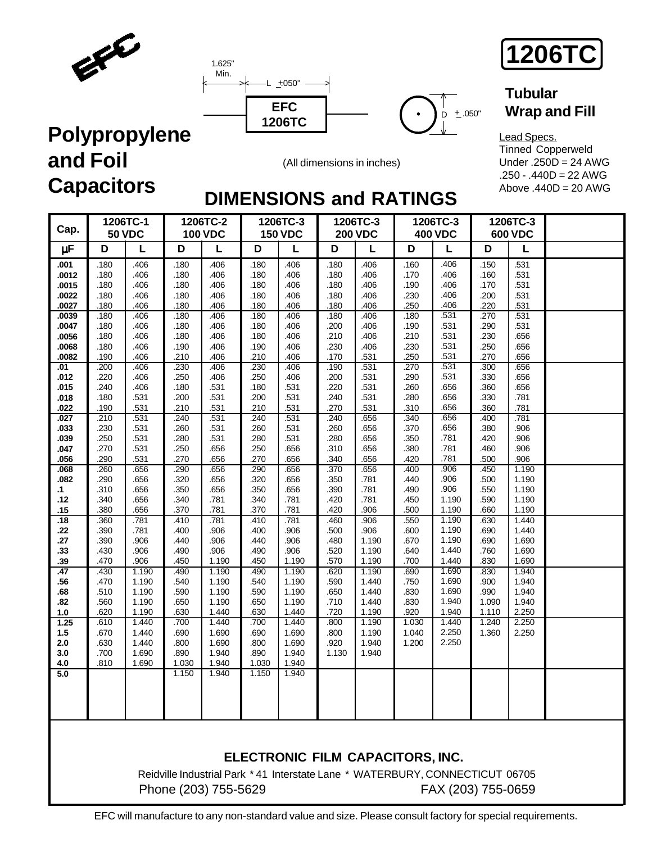



(All dimensions in inches)

 $D + .050"$ 

**1206TC**

### **Tubular Wrap and Fill**

Lead Specs. Tinned Copperweld Under .250D = 24 AWG .250 - .440D = 22 AWG Above .440D = 20 AWG

# **DIMENSIONS and RATINGS**

| Cap.                                              |                                              | 1206TC-1<br><b>50 VDC</b>                    |                                              | 1206TC-2<br><b>100 VDC</b>                   |                                              | 1206TC-3<br><b>150 VDC</b>                   |                                              | 1206TC-3<br><b>200 VDC</b>                   |                                              | 1206TC-3<br><b>400 VDC</b>                   |                                              | 1206TC-3<br><b>600 VDC</b>                   |  |
|---------------------------------------------------|----------------------------------------------|----------------------------------------------|----------------------------------------------|----------------------------------------------|----------------------------------------------|----------------------------------------------|----------------------------------------------|----------------------------------------------|----------------------------------------------|----------------------------------------------|----------------------------------------------|----------------------------------------------|--|
| μF                                                | D                                            | L                                            | D                                            | L                                            | D                                            | L                                            | D                                            | L                                            | D                                            | L                                            | D                                            | L                                            |  |
| .001<br>.0012<br>.0015<br>.0022<br>.0027<br>.0039 | .180<br>.180<br>.180<br>.180<br>.180<br>.180 | .406<br>.406<br>.406<br>.406<br>.406<br>.406 | .180<br>.180<br>.180<br>.180<br>.180<br>.180 | .406<br>.406<br>.406<br>.406<br>.406<br>.406 | .180<br>.180<br>.180<br>.180<br>.180<br>.180 | .406<br>.406<br>.406<br>.406<br>.406<br>.406 | .180<br>.180<br>.180<br>.180<br>.180<br>.180 | .406<br>.406<br>.406<br>.406<br>.406<br>.406 | .160<br>.170<br>.190<br>.230<br>.250<br>.180 | .406<br>.406<br>.406<br>.406<br>.406<br>.531 | .150<br>.160<br>.170<br>.200<br>.220<br>.270 | .531<br>.531<br>.531<br>.531<br>.531<br>.531 |  |
| .0047<br>.0056<br>.0068<br>.0082<br>.01           | .180<br>.180<br>.180<br>.190<br>.200         | .406<br>.406<br>.406<br>.406<br>.406         | .180<br>.180<br>.190<br>.210<br>.230         | .406<br>.406<br>.406<br>.406<br>.406         | .180<br>.180<br>.190<br>.210<br>.230         | .406<br>.406<br>.406<br>.406<br>.406         | .200<br>.210<br>.230<br>.170<br>.190         | .406<br>.406<br>.406<br>.531<br>.531         | .190<br>.210<br>.230<br>.250<br>.270         | .531<br>.531<br>.531<br>.531<br>.531         | .290<br>.230<br>.250<br>.270<br>.300         | .531<br>.656<br>.656<br>.656<br>.656         |  |
| .012<br>.015<br>.018<br>.022<br>.027              | .220<br>.240<br>.180<br>.190<br>.210         | .406<br>.406<br>.531<br>.531<br>.531         | .250<br>.180<br>.200<br>.210<br>.240         | .406<br>.531<br>.531<br>.531<br>.531         | .250<br>.180<br>.200<br>.210<br>.240         | .406<br>.531<br>.531<br>.531<br>.531         | .200<br>.220<br>.240<br>.270<br>.240         | .531<br>.531<br>.531<br>.531<br>.656         | .290<br>.260<br>.280<br>.310<br>.340         | .531<br>.656<br>.656<br>.656<br>.656         | .330<br>.360<br>.330<br>.360<br>.400         | .656<br>.656<br>.781<br>.781<br>.781         |  |
| .033<br>.039<br>.047<br>.056                      | .230<br>.250<br>.270<br>.290                 | .531<br>.531<br>.531<br>.531                 | .260<br>.280<br>.250<br>.270                 | .531<br>.531<br>.656<br>.656                 | .260<br>.280<br>.250<br>.270                 | .531<br>.531<br>.656<br>.656                 | .260<br>.280<br>.310<br>.340                 | .656<br>.656<br>.656<br>.656                 | .370<br>.350<br>.380<br>.420                 | .656<br>.781<br>.781<br>.781<br>.906         | .380<br>.420<br>.460<br>.500                 | .906<br>.906<br>.906<br>.906<br>1.190        |  |
| .068<br>.082<br>.1<br>.12<br>.15                  | .260<br>.290<br>.310<br>.340<br>.380         | .656<br>.656<br>.656<br>.656<br>.656         | .290<br>.320<br>.350<br>.340<br>.370         | .656<br>.656<br>.656<br>.781<br>.781         | .290<br>.320<br>.350<br>.340<br>.370         | .656<br>.656<br>.656<br>.781<br>.781         | .370<br>.350<br>.390<br>.420<br>.420         | .656<br>.781<br>.781<br>.781<br>.906         | .400<br>.440<br>.490<br>.450<br>.500         | .906<br>.906<br>1.190<br>1.190               | .450<br>.500<br>.550<br>.590<br>.660         | 1.190<br>1.190<br>1.190<br>1.190             |  |
| .18<br>.22<br>.27<br>.33<br>.39                   | .360<br>.390<br>.390<br>.430<br>.470         | .781<br>.781<br>.906<br>.906<br>.906         | .410<br>.400<br>.440<br>.490<br>.450         | .781<br>.906<br>.906<br>.906<br>1.190        | .410<br>.400<br>.440<br>.490<br>.450         | .781<br>.906<br>.906<br>.906<br>1.190        | .460<br>.500<br>.480<br>.520<br>.570         | .906<br>.906<br>1.190<br>1.190<br>1.190      | .550<br>.600<br>.670<br>.640<br>.700         | 1.190<br>1.190<br>1.190<br>1.440<br>1.440    | .630<br>.690<br>.690<br>.760<br>.830         | 1.440<br>1.440<br>1.690<br>1.690<br>1.690    |  |
| .47<br>.56<br>.68<br>.82<br>1.0                   | .430<br>.470<br>.510<br>.560<br>.620         | 1.190<br>1.190<br>1.190<br>1.190<br>1.190    | .490<br>.540<br>.590<br>.650<br>.630         | 1.190<br>1.190<br>1.190<br>1.190<br>1.440    | .490<br>.540<br>.590<br>.650<br>.630         | 1.190<br>1.190<br>1.190<br>1.190<br>1.440    | .620<br>.590<br>.650<br>.710<br>.720         | 1.190<br>1.440<br>1.440<br>1.440<br>1.190    | .690<br>.750<br>.830<br>.830<br>.920         | 1.690<br>1.690<br>1.690<br>1.940<br>1.940    | .830<br>.900<br>.990<br>1.090<br>1.110       | 1.940<br>1.940<br>1.940<br>1.940<br>2.250    |  |
| 1.25<br>1.5<br>2.0<br>3.0<br>4.0                  | .610<br>.670<br>.630<br>.700<br>.810         | 1.440<br>1.440<br>1.440<br>1.690<br>1.690    | .700<br>.690<br>.800<br>.890<br>1.030        | 1.440<br>1.690<br>1.690<br>1.940<br>1.940    | .700<br>.690<br>.800<br>.890<br>1.030        | 1.440<br>1.690<br>1.690<br>1.940<br>1.940    | .800<br>.800<br>.920<br>1.130                | 1.190<br>1.190<br>1.940<br>1.940             | 1.030<br>1.040<br>1.200                      | 1.440<br>2.250<br>2.250                      | 1.240<br>1.360                               | 2.250<br>2.250                               |  |
| 5.0                                               |                                              |                                              | 1.150                                        | 1.940                                        | 1.150                                        | 1.940                                        |                                              |                                              |                                              |                                              |                                              |                                              |  |
|                                                   |                                              |                                              |                                              |                                              |                                              |                                              |                                              |                                              |                                              |                                              |                                              |                                              |  |

### **ELECTRONIC FILM CAPACITORS, INC.**

Reidville Industrial Park \* 41 Interstate Lane \* WATERBURY, CONNECTICUT 06705 Phone (203) 755-5629 FAX (203) 755-0659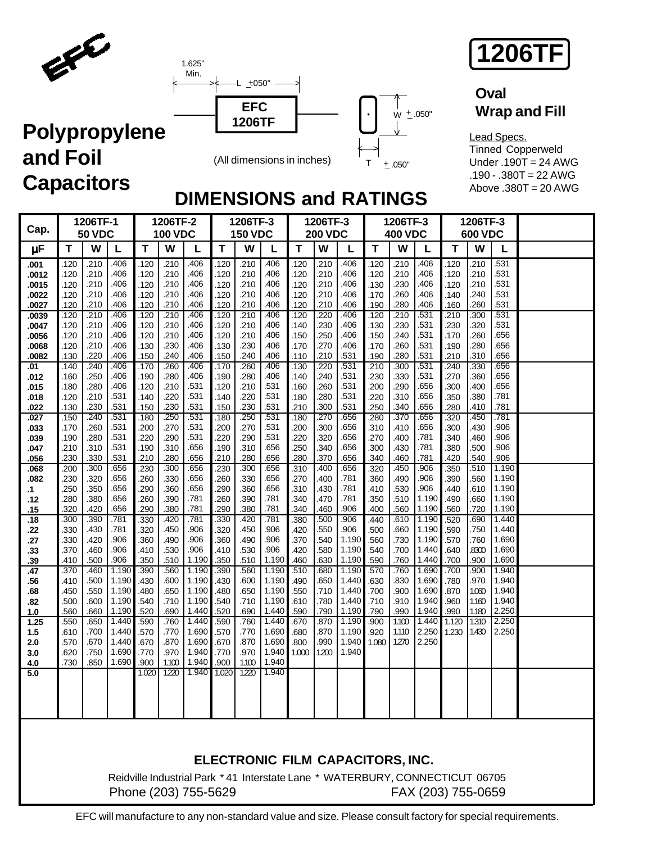

ELE





### **Oval Wrap and Fill**

Lead Specs. Tinned Copperweld Under .190T = 24 AWG .190 - .380T = 22 AWG Above .380T = 20 AWG

## **DIMENSIONS and RATINGS**

| Cap.           |              | 1206TF-1<br><b>50 VDC</b> |                |              | 1206TF-2<br><b>100 VDC</b> |                                                                               |              | 1206TF-3<br><b>150 VDC</b> |                |              | 1206TF-3<br><b>200 VDC</b> |                                  |               | 1206TF-3<br><b>400 VDC</b> |                    |              | 1206TF-3<br><b>600 VDC</b> |                |  |
|----------------|--------------|---------------------------|----------------|--------------|----------------------------|-------------------------------------------------------------------------------|--------------|----------------------------|----------------|--------------|----------------------------|----------------------------------|---------------|----------------------------|--------------------|--------------|----------------------------|----------------|--|
| μF             | Τ            | w                         | L              | Τ            | W                          | L                                                                             | T            | W                          | L              | T            | W                          | L                                | T             | W                          | L                  | $\mathbf T$  | W                          | L              |  |
| .001           | .120         | .210                      | .406           | .120         | .210                       | .406                                                                          | .120         | .210                       | .406           | .120         | .210                       | .406                             | .120          | .210                       | .406               | .120         | .210                       | .531           |  |
| .0012          | .120         | .210                      | .406           | .120         | .210                       | .406                                                                          | .120         | .210                       | .406           | .120         | .210                       | .406                             | .120          | .210                       | .406               | .120         | .210                       | .531           |  |
| .0015<br>.0022 | .120<br>.120 | .210<br>.210              | .406<br>.406   | .120<br>.120 | .210<br>.210               | .406<br>.406                                                                  | .120<br>.120 | .210<br>.210               | .406<br>.406   | .120<br>.120 | .210<br>.210               | .406<br>.406                     | .130<br>.170  | .230<br>.260               | .406<br>.406       | .120<br>.140 | .210<br>.240               | .531<br>.531   |  |
| .0027          | .120         | .210                      | .406           | .120         | .210                       | .406                                                                          | .120         | .210                       | .406           | .120         | .210                       | .406                             | .190          | .280                       | .406               | .160         | .260                       | .531           |  |
| .0039          | .120         | .210                      | .406           | .120         | .210                       | .406                                                                          | .120         | .210                       | .406           | .120         | .220                       | .406                             | .120          | .210                       | .531               | .210         | .300                       | .531           |  |
| .0047          | .120         | .210                      | .406<br>.406   | .120         | .210                       | .406                                                                          | .120         | .210                       | .406           | .140         | .230                       | .406                             | .130          | .230                       | .531<br>.531       | .230         | .320                       | .531<br>.656   |  |
| .0056<br>.0068 | .120<br>.120 | .210<br>.210              | .406           | .120<br>.130 | .210<br>.230               | .406<br>.406                                                                  | .120<br>.130 | .210<br>.230               | .406<br>.406   | .150<br>.170 | .250<br>.270               | .406<br>.406                     | .150<br>.170  | .240<br>.260               | .531               | .170<br>.190 | .260<br>.280               | .656           |  |
| .0082          | .130         | .220                      | .406           | .150         | .240                       | .406                                                                          | .150         | .240                       | .406           | .110         | .210                       | .531                             | .190          | .280                       | 531                | .210         | .310                       | .656           |  |
| .01            | .140         | .240                      | .406           | .170         | .260                       | .406                                                                          | .170         | .260                       | .406           | .130         | .220                       | .531                             | .210          | .300                       | .531               | .240         | .330                       | .656           |  |
| .012           | .160         | .250<br>.280              | .406<br>.406   | .190<br>.120 | .280<br>.210               | .406<br>.531                                                                  | .190         | .280<br>.210               | .406<br>.531   | .140         | .240<br>.260               | .531<br>.531                     | .230          | .330<br>.290               | .531<br>.656       | .270         | .360<br>.400               | .656<br>.656   |  |
| .015<br>.018   | .180<br>.120 | .210                      | .531           | .140         | .220                       | .531                                                                          | .120<br>.140 | .220                       | .531           | .160<br>.180 | .280                       | .531                             | .200<br>.220  | .310                       | .656               | .300<br>.350 | .380                       | .781           |  |
| .022           | .130         | .230                      | .531           | .150         | .230                       | .531                                                                          | .150         | .230                       | .531           | .210         | .300                       | .531                             | .250          | .340                       | .656               | .280         | .410                       | .781           |  |
| .027           | .150         | .240                      | .531           | .180         | .250                       | .531                                                                          | .180         | .250                       | .531           | .180         | .270                       | .656                             | .280          | .370                       | .656               | .320         | 450                        | .781           |  |
| .033           | .170         | .260<br>.280              | .531<br>.531   | .200         | .270<br>.290               | .531<br>.531                                                                  | .200         | .270<br>.290               | .531<br>.531   | .200         | .300<br>.320               | .656<br>.656                     | .310          | .410<br>.400               | .656<br>.781       | .300         | .430<br>.460               | .906<br>.906   |  |
| .039<br>.047   | .190<br>.210 | .310                      | .531           | .220<br>.190 | .310                       | .656                                                                          | .220<br>.190 | .310                       | .656           | .220<br>.250 | .340                       | .656                             | .270<br>.300  | .430                       | .781               | .340<br>.380 | .500                       | .906           |  |
| .056           | .230         | .330                      | .531           | .210         | .280                       | .656                                                                          | .210         | .280                       | .656           | .280         | .370                       | .656                             | .340          | .460                       | .781               | .420         | 540                        | .906           |  |
| .068           | .200         | .300                      | .656           | .230         | .300                       | .656                                                                          | .230         | .300                       | .656           | .310         | .400                       | .656                             | .320          | .450                       | .906               | .350         | .510                       | 1.190          |  |
| .082           | .230<br>.250 | .320<br>.350              | .656<br>.656   | .260<br>.290 | .330<br>.360               | .656<br>.656                                                                  | .260<br>.290 | .330<br>.360               | .656<br>.656   | .270<br>.310 | .400<br>.430               | .781<br>.781                     | .360<br>.410  | .490<br>.530               | .906<br>.906       | .390<br>.440 | .560<br>.610               | 1.190<br>1.190 |  |
| .1<br>.12      | .280         | .380                      | .656           | .260         | .390                       | .781                                                                          | .260         | .390                       | .781           | .340         | .470                       | .781                             | .350          | .510                       | 1.190              | .490         | .660                       | 1.190          |  |
| .15            | .320         | .420                      | .656           | .290         | .380                       | .781                                                                          | .290         | .380                       | .781           | .340         | .460                       | .906                             | .400          | .560                       | 1.190              | .560         | .720                       | 1.190          |  |
| .18            | .300         | .390                      | .781           | .330         | .420                       | .781                                                                          | .330         | .420                       | .781           | .380         | .500                       | .906                             | .440          | .610                       | 1.190              | .520         | .690                       | 1.440          |  |
| .22<br>.27     | 330<br>.330  | .430<br>.420              | .781<br>.906   | .320<br>.360 | .450<br>.490               | .906<br>.906                                                                  | .320<br>.360 | .450<br>.490               | .906<br>.906   | .420<br>.370 | .550<br>.540               | .906<br>1.190                    | .500<br>.560  | .660<br>.730               | 1.190<br>1.190     | 590<br>.570  | .750<br>.760               | 1.440<br>1.690 |  |
| .33            | 370.         | .460                      | .906           | .410         | .530                       | .906                                                                          | .410         | .530                       | .906           | .420         | .580                       | 1.190                            | .540          | .700                       | 1.440              | .640         | .8300                      | 1.690          |  |
| .39            | .410         | .500                      | .906           | .350         | .510                       | 1.190                                                                         | .350         | .510                       | 1.190          | .460         | .630                       | 1.190                            | .590          | .760                       | 1.440              | .700         | .900                       | 1.690          |  |
| .47            | .370         | .460                      | 1.190          | .390         | .560                       | 1.190                                                                         | .390         | .560                       | 1.190          | .510         | .680                       | 1.190                            | .570          | .760                       | 1.690              | .700         | .900                       | 1.940          |  |
| .56<br>.68     | .410<br>.450 | .500<br>.550              | 1.190<br>1.190 | .430<br>.480 | .600<br>.650               | 1.190<br>1.190                                                                | .430<br>.480 | .600<br>.650               | 1.190<br>1.190 | .490<br>.550 | .650<br>.710               | 1.440<br>1.440                   | .630<br>.700  | .830<br>.900               | 1.690<br>1.690     | .780<br>.870 | .970<br>1.060              | 1.940<br>1.940 |  |
| .82            | 500          | .600                      | 1.190          | .540         | .710                       | 1.190                                                                         | .540         | .710                       | 1.190          | .610         | .780                       | 1.440                            | .710          | .910                       | 1.940              | .960         | 1.160                      | 1.940          |  |
| 1.0            | .560         | .660                      | 1.190          | .520         | .690                       | 1.440                                                                         | .520         | .690                       | 1.440          | .590         | .790                       | 1.190                            | .790          | .990                       | 1.940              | .990         | 1.180                      | 2.250          |  |
| 1.25           | .550         | .650                      | 1.440<br>1.440 | .590         | .760                       | 1.440<br>1.690                                                                | .590         | .760                       | 1.440<br>1.690 | .670         | .870                       | 1.190<br>1.190                   | .900          | 1.100                      | 1.440<br>2.250     | 1.120        | 1.310                      | 2.250          |  |
| 1.5<br>2.0     | 610.<br>570  | .700<br>.670              | 1.440          | .570<br>.670 | .770<br>.870               | 1.690                                                                         | .570<br>.670 | .770<br>.870               | 1.690          | .680<br>.800 | .870<br>.990               | 1.940                            | .920<br>1.080 | 1.110<br>1.270             | 2.250              | 1.230        | 1.430                      | 2.250          |  |
| 3.0            | .620         | .750                      | 1.690          | .770         | .970                       | 1.940                                                                         | .770         | .970                       | 1.940          | 1.000        | 1.200                      | 1.940                            |               |                            |                    |              |                            |                |  |
| 4.0            | .730         | .850                      | 1.690          | .900         | 1.100                      | 1.940                                                                         | .900         | 1.100                      | 1.940          |              |                            |                                  |               |                            |                    |              |                            |                |  |
| 5.0            |              |                           |                | 1.020        | 1.220                      | 1.940                                                                         | 1.020        | 1.220                      | 1.940          |              |                            |                                  |               |                            |                    |              |                            |                |  |
|                |              |                           |                |              |                            |                                                                               |              |                            |                |              |                            |                                  |               |                            |                    |              |                            |                |  |
|                |              |                           |                |              |                            |                                                                               |              |                            |                |              |                            |                                  |               |                            |                    |              |                            |                |  |
|                |              |                           |                |              |                            |                                                                               |              |                            |                |              |                            |                                  |               |                            |                    |              |                            |                |  |
|                |              |                           |                |              |                            |                                                                               |              |                            |                |              |                            |                                  |               |                            |                    |              |                            |                |  |
|                |              |                           |                |              |                            |                                                                               |              |                            |                |              |                            |                                  |               |                            |                    |              |                            |                |  |
|                |              |                           |                |              |                            |                                                                               |              |                            |                |              |                            | ELECTRONIC FILM CAPACITORS, INC. |               |                            |                    |              |                            |                |  |
|                |              |                           |                |              |                            | Reidville Industrial Park * 41 Interstate Lane * WATERBURY, CONNECTICUT 06705 |              |                            |                |              |                            |                                  |               |                            |                    |              |                            |                |  |
|                |              |                           |                |              |                            | Phone (203) 755-5629                                                          |              |                            |                |              |                            |                                  |               |                            | FAX (203) 755-0659 |              |                            |                |  |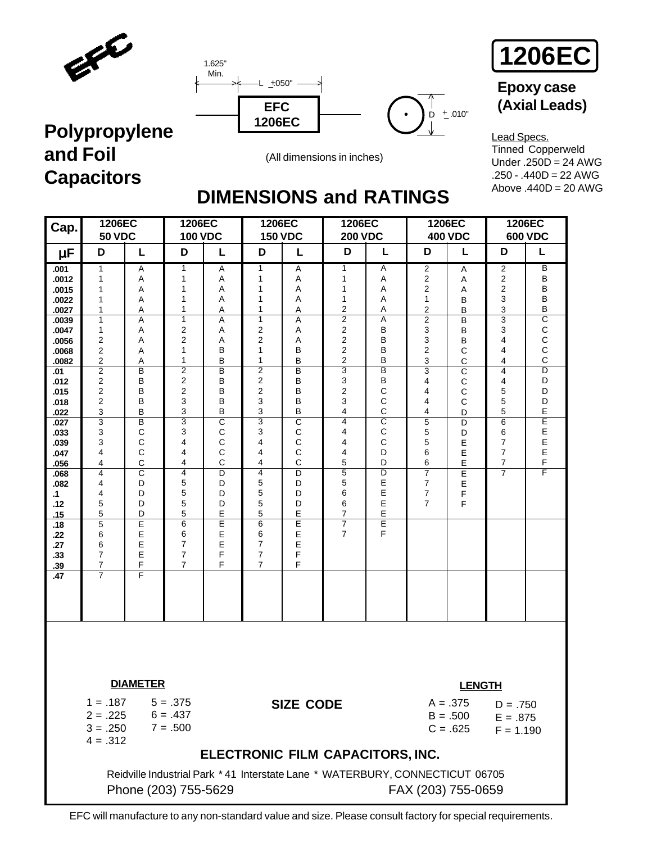





# **Epoxy case**

# **Polypropylene and Foil Capacitors**



Lead Specs. Tinned Copperweld Under .250D = 24 AWG .250 - .440D = 22 AWG Above  $.440D = 20$  AWG

# **DIMENSIONS and RATINGS**

| Cap.                                                                                                                                                                                                                                                      | 1206EC<br><b>50 VDC</b>                                                                                                                                                                        |                                                                                                                                                                                                                                                           | 1206EC<br><b>100 VDC</b>                                                                                                                                                                                                                                                         |                                                                                                                                                                                                         | 1206EC<br><b>150 VDC</b>                                                                                                                                                                                                                                                       |                                                                                                                                                                                                                                           | 1206EC<br><b>200 VDC</b>                                                                                                                                                                                                                                        |                                                                                                                                                                                                        | 1206EC                                                                                                                                                                                          | <b>400 VDC</b>                                                                                                                                                                                  | 1206EC                                                                                                                                       | <b>600 VDC</b>                                                                                                                                                                                                                       |
|-----------------------------------------------------------------------------------------------------------------------------------------------------------------------------------------------------------------------------------------------------------|------------------------------------------------------------------------------------------------------------------------------------------------------------------------------------------------|-----------------------------------------------------------------------------------------------------------------------------------------------------------------------------------------------------------------------------------------------------------|----------------------------------------------------------------------------------------------------------------------------------------------------------------------------------------------------------------------------------------------------------------------------------|---------------------------------------------------------------------------------------------------------------------------------------------------------------------------------------------------------|--------------------------------------------------------------------------------------------------------------------------------------------------------------------------------------------------------------------------------------------------------------------------------|-------------------------------------------------------------------------------------------------------------------------------------------------------------------------------------------------------------------------------------------|-----------------------------------------------------------------------------------------------------------------------------------------------------------------------------------------------------------------------------------------------------------------|--------------------------------------------------------------------------------------------------------------------------------------------------------------------------------------------------------|-------------------------------------------------------------------------------------------------------------------------------------------------------------------------------------------------|-------------------------------------------------------------------------------------------------------------------------------------------------------------------------------------------------|----------------------------------------------------------------------------------------------------------------------------------------------|--------------------------------------------------------------------------------------------------------------------------------------------------------------------------------------------------------------------------------------|
| μF                                                                                                                                                                                                                                                        | D                                                                                                                                                                                              | L                                                                                                                                                                                                                                                         | D                                                                                                                                                                                                                                                                                | L                                                                                                                                                                                                       | D                                                                                                                                                                                                                                                                              | L                                                                                                                                                                                                                                         | D                                                                                                                                                                                                                                                               | L                                                                                                                                                                                                      | D                                                                                                                                                                                               | L                                                                                                                                                                                               | D                                                                                                                                            | L                                                                                                                                                                                                                                    |
| .001<br>.0012<br>.0015<br>.0022<br>.0027<br>.0039<br>.0047<br>.0056<br>.0068<br>.0082<br>.01<br>.012<br>.015<br>.018<br>.022<br>.027<br>.033<br>.039<br>.047<br>.056<br>.068<br>.082<br>$\cdot$ 1<br>.12<br>.15<br>.18<br>.22<br>.27<br>.33<br>.39<br>.47 | 1<br>1<br>1<br>1<br>1<br>1<br>1<br>2<br>2<br>2<br>$\overline{c}$<br>2<br>2<br>$\overline{2}$<br>3<br>3<br>3<br>3<br>4<br>4<br>4<br>4<br>4<br>5<br>5<br>5<br>6<br>6<br>7<br>7<br>$\overline{7}$ | A<br>Α<br>Α<br>Α<br>Α<br>$\overline{A}$<br>Α<br>A<br>A<br>Α<br>B<br>B<br>B<br>B<br>B<br>$\overline{B}$<br>$\mathsf C$<br>$\mathsf{C}$<br>$\mathsf{C}$<br>$\mathsf C$<br>$\overline{\text{c}}$<br>D<br>D<br>D<br>D<br>Ε<br>E<br>$\mathsf E$<br>E<br>F<br>F | 1<br>1<br>1<br>$\mathbf{1}$<br>1<br>$\overline{1}$<br>2<br>$\overline{2}$<br>$\mathbf{1}$<br>1<br>$\overline{2}$<br>$\overline{2}$<br>$\overline{2}$<br>3<br>3<br>$\overline{3}$<br>3<br>4<br>4<br>4<br>4<br>5<br>5<br>5<br>5<br>6<br>6<br>7<br>$\overline{7}$<br>$\overline{7}$ | Α<br>Α<br>Α<br>A<br>A<br>Α<br>Α<br>A<br>B<br>B<br>B<br>B<br>B<br>B<br>B<br>$\overline{\mathsf{c}}$<br>$\mathsf C$<br>C<br>$\mathsf C$<br>$\mathsf{C}$<br>D<br>D<br>D<br>D<br>E<br>E<br>Е<br>E<br>F<br>F | 1<br>$\mathbf{1}$<br>$\mathbf{1}$<br>1<br>1<br>$\overline{1}$<br>2<br>$\overline{2}$<br>$\mathbf{1}$<br>1<br>$\overline{c}$<br>$\overline{2}$<br>$\overline{2}$<br>3<br>3<br>3<br>3<br>4<br>4<br>4<br>4<br>5<br>5<br>5<br>5<br>6<br>6<br>7<br>$\overline{7}$<br>$\overline{7}$ | Α<br>Α<br>Α<br>Α<br>Α<br>$\overline{A}$<br>Α<br>A<br>B<br>B<br>B<br>B<br>B<br>B<br>B<br>$\overline{\text{c}}$<br>$\mathsf C$<br>C<br>$\mathsf{C}$<br>C<br>D<br>D<br>D<br>D<br>Е<br>$\overline{E}$<br>$\mathsf E$<br>$\mathsf E$<br>F<br>F | 1<br>1<br>1<br>$\mathbf{1}$<br>2<br>$\overline{2}$<br>$\overline{\mathbf{c}}$<br>$\overline{2}$<br>$\overline{2}$<br>$\overline{2}$<br>3<br>3<br>$\overline{2}$<br>3<br>4<br>4<br>4<br>4<br>4<br>5<br>5<br>5<br>6<br>6<br>7<br>$\overline{7}$<br>$\overline{7}$ | A<br>Α<br>Α<br>A<br>Α<br>$\overline{A}$<br>B<br>B<br>B<br>B<br>B<br>B<br>C<br>$\mathsf{C}$<br>C<br>$\overline{\text{c}}$<br>$\mathsf C$<br>C<br>D<br>D<br>$\overline{D}$<br>Е<br>Е<br>E<br>E<br>E<br>F | 2<br>$\mathbf 2$<br>2<br>1<br>2<br>$\overline{2}$<br>3<br>3<br>$\overline{2}$<br>3<br>$\overline{3}$<br>4<br>4<br>4<br>4<br>5<br>5<br>5<br>6<br>6<br>$\overline{7}$<br>7<br>7<br>$\overline{7}$ | Α<br>Α<br>A<br>B<br>$\sf B$<br>B<br>$\sf B$<br>B<br>$\mathsf{C}$<br>$\mathsf C$<br>$\mathsf{C}$<br>$\mathbf C$<br>$\mathsf C$<br>$\mathsf{C}$<br>D<br>D<br>D<br>E<br>E<br>E<br>E<br>E<br>F<br>F | 2<br>2<br>2<br>3<br>3<br>$\overline{3}$<br>3<br>4<br>4<br>4<br>4<br>4<br>5<br>5<br>5<br>6<br>6<br>7<br>7<br>$\overline{7}$<br>$\overline{7}$ | $\overline{B}$<br>B<br>B<br>B<br>B<br>$\overline{\mathsf{c}}$<br>$\mathsf C$<br>$\mathsf C$<br>$\mathsf C$<br>$\mathsf C$<br>$\overline{\mathsf{D}}$<br>D<br>D<br>D<br>Е<br>Ε<br>$\mathsf E$<br>$\mathsf E$<br>$\mathsf E$<br>F<br>F |
|                                                                                                                                                                                                                                                           | $4 = .312$                                                                                                                                                                                     | <b>DIAMETER</b><br>$1 = .187$ $5 = .375$<br>$2 = .225$ 6 = .437<br>$3 = .250$ $7 = .500$<br>Phone (203) 755-5629                                                                                                                                          |                                                                                                                                                                                                                                                                                  |                                                                                                                                                                                                         |                                                                                                                                                                                                                                                                                | <b>SIZE CODE</b>                                                                                                                                                                                                                          | ELECTRONIC FILM CAPACITORS, INC.<br>Reidville Industrial Park *41 Interstate Lane * WATERBURY, CONNECTICUT 06705                                                                                                                                                |                                                                                                                                                                                                        | FAX (203) 755-0659                                                                                                                                                                              | <b>LENGTH</b><br>$A = .375$<br>$B = .500$<br>$C = .625$                                                                                                                                         | $D = .750$<br>$E = .875$<br>$F = 1.190$                                                                                                      |                                                                                                                                                                                                                                      |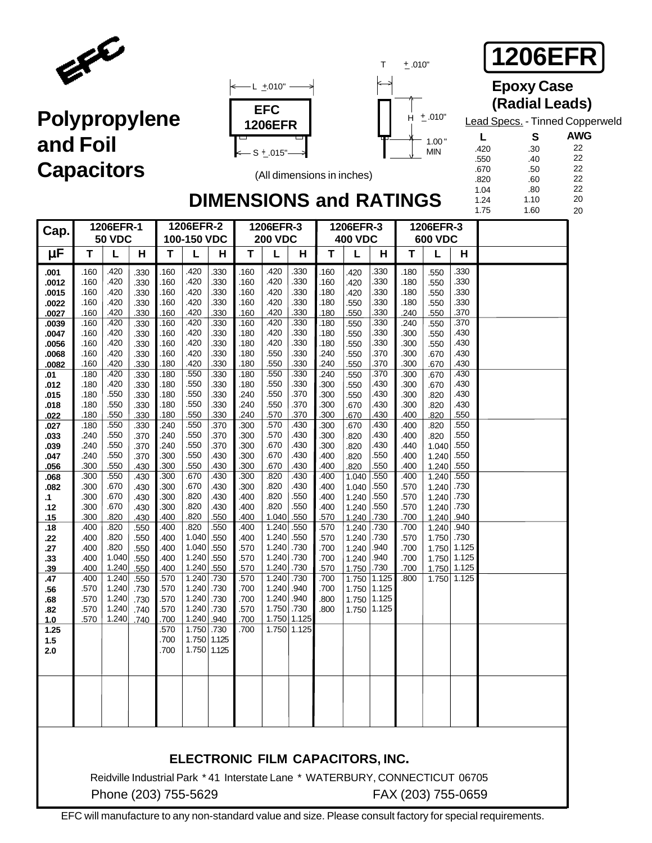





**1206EFR**

### **Epoxy Case (Radial Leads)**

Lead Specs. - Tinned Copperweld

1.10

 **L** .420 .550 .670 .820 1.04 1.24

**AWG** 22 22 22 22 22  **S** .30 .40 .50 .60 .80

> 20 20

## **DIMENSIONS and RATINGS**

(All dimensions in inches)

|                |              |                                                                              |              |              |                |              |              |                          |              |                                  |                |                |              |                |              | 1.75 | 1.60 |  |
|----------------|--------------|------------------------------------------------------------------------------|--------------|--------------|----------------|--------------|--------------|--------------------------|--------------|----------------------------------|----------------|----------------|--------------|----------------|--------------|------|------|--|
| Cap.           |              | 1206EFR-1                                                                    |              |              | 1206EFR-2      |              |              | 1206EFR-3                |              |                                  | 1206EFR-3      |                |              | 1206EFR-3      |              |      |      |  |
|                |              | <b>50 VDC</b>                                                                |              |              | 100-150 VDC    |              |              | <b>200 VDC</b>           |              |                                  | <b>400 VDC</b> |                |              | <b>600 VDC</b> |              |      |      |  |
| μF             | T            | L                                                                            | H            | т            | L              | н            | T            | L                        | н            | Т                                | L              | Н              | T            | L              | Н            |      |      |  |
| .001           | .160         | .420                                                                         | .330         | .160         | .420           | .330         | .160         | .420                     | .330         | .160                             | .420           | .330           | .180         | .550           | .330         |      |      |  |
| .0012          | .160         | .420                                                                         | .330         | .160         | .420           | .330         | .160         | .420                     | .330         | .160                             | .420           | 330            | .180         | .550           | .330         |      |      |  |
| .0015          | .160         | .420                                                                         | .330         | .160         | .420           | .330         | .160         | .420                     | .330         | .180                             | .420           | .330           | .180         | .550           | .330         |      |      |  |
| .0022          | .160         | .420                                                                         | .330         | .160         | .420           | .330         | .160         | .420                     | .330         | .180                             | .550           | 330            | .180         | .550           | .330         |      |      |  |
| .0027          | .160         | .420                                                                         | .330         | .160         | .420           | .330         | .160         | .420                     | .330         | .180                             | .550           | .330           | .240         | .550           | .370         |      |      |  |
| .0039          | .160         | .420                                                                         | .330         | .160         | .420           | .330         | .160         | .420                     | .330         | .180                             | 550            | .330           | .240         | .550           | .370         |      |      |  |
| .0047          | .160         | .420                                                                         | .330         | .160         | .420           | .330         | .180         | .420                     | .330         | .180                             | .550           | 330            | .300         | .550           | .430         |      |      |  |
| .0056          | .160         | .420                                                                         | .330         | .160         | .420           | .330         | .180         | .420                     | .330         | .180                             | .550           | 330            | .300         | .550           | .430         |      |      |  |
| .0068<br>.0082 | .160<br>.160 | .420<br>.420                                                                 | .330<br>.330 | .160<br>.180 | .420<br>.420   | .330<br>.330 | .180<br>.180 | .550<br>.550             | .330<br>.330 | .240<br>.240                     | .550<br>.550   | 370<br>370     | .300<br>.300 | .670<br>.670   | .430<br>.430 |      |      |  |
| .01            | .180         | .420                                                                         | .330         | .180         | .550           | .330         | .180         | .550                     | .330         | .240                             | 550            | .370           | .300         | .670           | .430         |      |      |  |
| .012           | .180         | .420                                                                         | .330         | .180         | .550           | .330         | .180         | .550                     | .330         | .300                             | .550           | .430           | .300         | .670           | .430         |      |      |  |
| .015           | .180         | .550                                                                         | .330         | .180         | .550           | .330         | .240         | .550                     | .370         | .300                             | .550           | .430           | .300         | .820           | .430         |      |      |  |
| .018           | .180         | .550                                                                         | .330         | .180         | .550           | .330         | .240         | .550                     | .370         | .300                             | .670           | .430           | .300         | .820           | .430         |      |      |  |
| .022           | .180         | .550                                                                         | .330         | .180         | .550           | .330         | .240         | .570                     | .370         | .300                             | .670           | 430            | .400         | .820           | .550         |      |      |  |
| .027           | .180         | .550                                                                         | .330         | .240         | .550           | .370         | .300         | .570                     | .430         | .300                             | .670           | .430           | .400         | .820           | .550         |      |      |  |
| .033           | .240         | .550                                                                         | .370         | .240         | .550           | .370         | .300         | .570                     | .430         | .300                             | .820           | .430           | .400         | .820           | .550         |      |      |  |
| .039           | .240         | .550                                                                         | .370         | .240         | .550           | .370         | .300         | .670                     | .430         | .300                             | .820           | .430           | .440         | 1.040          | .550         |      |      |  |
| .047           | .240         | .550                                                                         | .370         | .300         | .550           | .430         | .300         | .670                     | .430         | .400                             | .820           | 550            | .400         | 1.240          | .550         |      |      |  |
| .056           | .300         | .550                                                                         | .430         | .300         | .550           | .430         | .300         | .670                     | .430         | .400                             | .820           | 550            | .400         | 1.240          | .550         |      |      |  |
| .068           | .300         | .550                                                                         | .430         | .300         | .670           | .430         | .300         | .820                     | .430         | .400                             | 1.040          | .550           | .400         | 1.240          | .550         |      |      |  |
| .082           | .300<br>.300 | .670<br>.670                                                                 | .430         | .300<br>.300 | .670<br>.820   | .430<br>.430 | .300<br>.400 | .820<br>.820             | .430<br>.550 | .400<br>.400                     | 1.040          | .550<br>.550   | .570<br>.570 | 1.240          | .730<br>.730 |      |      |  |
| .1<br>.12      | .300         | .670                                                                         | .430<br>.430 | .300         | .820           | .430         | .400         | .820                     | .550         | .400                             | 1.240<br>1.240 | .550           | .570         | 1.240<br>1.240 | .730         |      |      |  |
| .15            | .300         | .820                                                                         | .430         | .400         | .820           | .550         | .400         | 1.040                    | .550         | .570                             | 1.240          | .730           | .700         | 1.240          | .940         |      |      |  |
| .18            | .400         | .820                                                                         | .550         | .400         | .820           | .550         | .400         | 1.240                    | .550         | .570                             | 1.240          | .730           | .700         | 1.240          | .940         |      |      |  |
| .22            | .400         | .820                                                                         | .550         | .400         | 1.040          | .550         | .400         | 1.240                    | .550         | .570                             | 1.240          | .730           | .570         | 1.750          | .730         |      |      |  |
| .27            | .400         | .820                                                                         | .550         | .400         | 1.040          | .550         | .570         | 1.240                    | .730         | .700                             | 1.240          | .940           | .700         | 1.750          | 1.125        |      |      |  |
| .33            | .400         | 1.040                                                                        | .550         | .400         | 1.240          | .550         | .570         | 1.240 .730               |              | .700                             | 1.240          | .940           | .700         | 1.750          | 1.125        |      |      |  |
| .39            | .400         | 1.240                                                                        | .550         | .400         | 1.240          | .550         | .570         | 1.240                    | .730         | .570                             | 1.750          | .730           | .700         | 1.750          | 1.125        |      |      |  |
| .47            | .400         | 1.240                                                                        | .550         | .570         | 1.240          | .730         | .570         | 1.240                    | .730         | .700                             | 1.750          | 1.125          | .800         | 1.750          | 1.125        |      |      |  |
| .56            | .570         | 1.240<br>1.240                                                               | .730         | .570         | 1.240          | .730         | .700         | 1.240                    | .940         | .700                             | 1.750          | 1.125          |              |                |              |      |      |  |
| .68<br>.82     | .570<br>.570 | 1.240                                                                        | .730<br>.740 | .570<br>.570 | 1.240<br>1.240 | .730<br>.730 | .700<br>.570 | 1.240 .940<br>1.750 .730 |              | .800<br>.800                     | 1.750<br>1.750 | 1.125<br>1.125 |              |                |              |      |      |  |
| 1.0            | .570         | 1.240                                                                        | .740         | .700         | 1.240          | .940         | .700         | 1.750 1.125              |              |                                  |                |                |              |                |              |      |      |  |
| 1.25           |              |                                                                              |              | .570         | 1.750          | .730         | .700         | 1.750 1.125              |              |                                  |                |                |              |                |              |      |      |  |
| 1.5            |              |                                                                              |              | .700         | 1.750          | 1.125        |              |                          |              |                                  |                |                |              |                |              |      |      |  |
| 2.0            |              |                                                                              |              | .700         | 1.750          | 1.125        |              |                          |              |                                  |                |                |              |                |              |      |      |  |
|                |              |                                                                              |              |              |                |              |              |                          |              |                                  |                |                |              |                |              |      |      |  |
|                |              |                                                                              |              |              |                |              |              |                          |              |                                  |                |                |              |                |              |      |      |  |
|                |              |                                                                              |              |              |                |              |              |                          |              |                                  |                |                |              |                |              |      |      |  |
|                |              |                                                                              |              |              |                |              |              |                          |              |                                  |                |                |              |                |              |      |      |  |
|                |              |                                                                              |              |              |                |              |              |                          |              |                                  |                |                |              |                |              |      |      |  |
|                |              |                                                                              |              |              |                |              |              |                          |              |                                  |                |                |              |                |              |      |      |  |
|                |              |                                                                              |              |              |                |              |              |                          |              |                                  |                |                |              |                |              |      |      |  |
|                |              |                                                                              |              |              |                |              |              |                          |              |                                  |                |                |              |                |              |      |      |  |
|                |              |                                                                              |              |              |                |              |              |                          |              |                                  |                |                |              |                |              |      |      |  |
|                |              |                                                                              |              |              |                |              |              |                          |              | ELECTRONIC FILM CAPACITORS, INC. |                |                |              |                |              |      |      |  |
|                |              | Reidville Industrial Park *41 Interstate Lane * WATERBURY, CONNECTICUT 06705 |              |              |                |              |              |                          |              |                                  |                |                |              |                |              |      |      |  |

Phone (203) 755-5629 FAX (203) 755-0659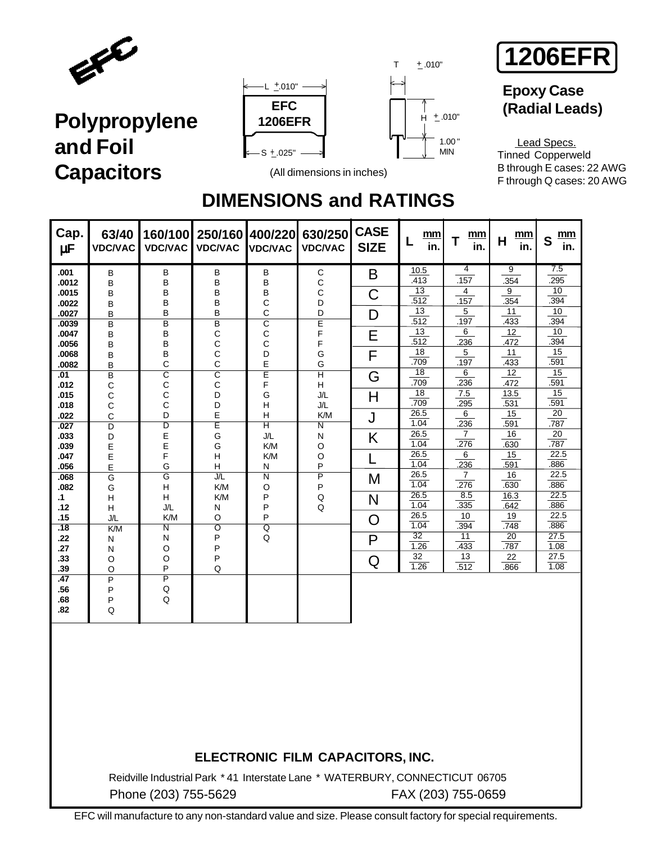







### **Epoxy Case (Radial Leads)**

 Lead Specs. Tinned Copperweld B through E cases: 22 AWG F through Q cases: 20 AWG

### **DIMENSIONS and RATINGS**

| Cap.<br>μF       | 63/40<br><b>VDC/VAC</b>        | 160/100<br><b>VDC/VAC</b> | 250/160<br><b>VDC/VAC</b> | 400/220<br><b>VDC/VAC</b>    | 630/250<br><b>VDC/VAC</b>      | <b>CASE</b><br><b>SIZE</b> | mm<br>L<br>in.  | mm<br>T<br>in.         | mm<br>H<br>in. | mm<br>S<br>in. |
|------------------|--------------------------------|---------------------------|---------------------------|------------------------------|--------------------------------|----------------------------|-----------------|------------------------|----------------|----------------|
| .001             | B                              | B                         | В                         | В                            | $\mathsf C$                    | B                          | 10.5            | $\overline{4}$         | 9              | 7.5            |
| .0012            | B                              | B                         | B                         | B                            | $\mathbf C$                    |                            | .413<br>13      | .157<br>$\overline{4}$ | .354<br>9      | .295<br>10     |
| .0015<br>.0022   | B<br>B                         | B<br>B                    | B<br>B                    | B<br>C                       | $\mathsf{C}$<br>D              | C                          | .512            | .157                   | .354           | .394           |
| .0027            | B                              | B                         | B                         | C                            | D                              | D                          | 13              | 5                      | 11             | 10             |
| .0039            | B                              | $\overline{B}$            | $\overline{\mathsf{B}}$   | $\overline{\text{c}}$        | $\overline{\mathsf{E}}$        |                            | .512            | .197                   | .433           | .394           |
| .0047            | B                              | B                         | С                         | С                            | F                              | E                          | 13              | 6                      | 12             | 10             |
| .0056            | B                              | B                         | С                         | С                            | F                              |                            | .512<br>18      | .236<br>$\mathbf{5}$   | .472<br>11     | .394<br>15     |
| .0068<br>.0082   | B<br>B                         | B<br>$\mathsf{C}$         | C<br>C                    | D<br>E                       | G<br>G                         | F                          | .709            | .197                   | .433           | .591           |
| $\overline{.01}$ | $\overline{B}$                 | $\overline{\text{c}}$     | $\overline{\text{c}}$     | Ε                            | $\overline{\mathsf{H}}$        | G                          | $\overline{18}$ | 6                      | 12             | 15             |
| .012             | C                              | C                         | С                         | F                            | H                              |                            | .709            | .236                   | .472           | .591           |
| .015             | С                              | С                         | D                         | G                            | J/L                            | Η                          | 18<br>.709      | 7.5                    | 13.5           | 15             |
| .018             | С                              | C                         | D                         | Н                            | J/L                            |                            | 26.5            | .295<br>$\overline{6}$ | .531<br>15     | .591<br>20     |
| .022<br>.027     | $\mathsf{C}$<br>$\overline{D}$ | D<br>$\overline{D}$       | E<br>Ē                    | Н<br>$\overline{\mathsf{H}}$ | K/M<br>$\overline{\mathsf{N}}$ | J                          | 1.04            | .236                   | .591           | .787           |
| .033             | D                              | E                         | G                         | J/L                          | N                              | K                          | 26.5            | $\overline{7}$         | 16             | 20             |
| .039             | E                              | E                         | G                         | K/M                          | O                              |                            | 1.04            | .276                   | .630           | .787           |
| .047             | E                              | F                         | H                         | K/M                          | $\circ$                        |                            | 26.5<br>1.04    | 6                      | 15             | 22.5<br>.886   |
| .056             | E                              | G                         | Н<br>J/L                  | N<br>$\overline{\mathsf{N}}$ | P                              |                            | 26.5            | .236<br>$\overline{7}$ | .591<br>16     | 22.5           |
| .068<br>.082     | $\overline{G}$<br>G            | G<br>Н                    | K/M                       | O                            | $\overline{P}$<br>P            | M                          | 1.04            | .276                   | .630           | .886           |
| .1               | H                              | Н                         | K/M                       | P                            | $\mathsf Q$                    | N                          | 26.5            | 8.5                    | 16.3           | 22.5           |
| .12              | H                              | J/L                       | N                         | P                            | Q                              |                            | 1.04            | .335                   | .642           | .886           |
| .15              | J/L                            | K/M                       | $\circ$                   | P                            |                                | O                          | 26.5<br>1.04    | 10<br>.394             | 19             | 22.5<br>.886   |
| .18              | K/M                            | $\overline{\mathsf{N}}$   | $\overline{\mathsf{o}}$   | $\overline{Q}$               |                                |                            | $\overline{32}$ | 11                     | .748<br>20     | 27.5           |
| .22<br>.27       | N<br>N                         | N<br>O                    | P<br>P                    | Q                            |                                | P                          | 1.26            | .433                   | .787           | 1.08           |
| .33              | O                              | O                         | P                         |                              |                                | Q                          | 32              | 13                     | 22             | 27.5           |
| .39              | $\circ$                        | P                         | Q                         |                              |                                |                            | 1.26            | .512                   | .866           | 1.08           |
| .47              | P                              | $\overline{\mathsf{P}}$   |                           |                              |                                |                            |                 |                        |                |                |
| .56<br>.68       | P<br>P                         | Q<br>Q                    |                           |                              |                                |                            |                 |                        |                |                |
| .82              | Q                              |                           |                           |                              |                                |                            |                 |                        |                |                |
|                  |                                |                           |                           |                              |                                |                            |                 |                        |                |                |
|                  |                                |                           |                           |                              |                                |                            |                 |                        |                |                |

### **ELECTRONIC FILM CAPACITORS, INC.**

Reidville Industrial Park \* 41 Interstate Lane \* WATERBURY, CONNECTICUT 06705 Phone (203) 755-5629 FAX (203) 755-0659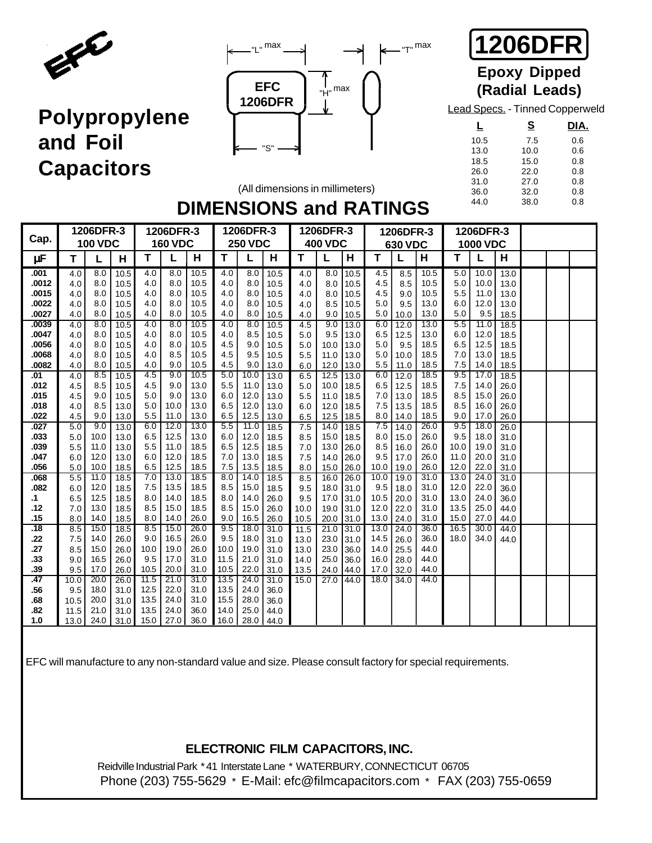





# **Epoxy Dipped**

Lead Specs. - Tinned Copperweld

|      | S    | DIA. |
|------|------|------|
| 10.5 | 7.5  | 0.6  |
| 13.0 | 10.0 | 0.6  |
| 18.5 | 15.0 | 0.8  |
| 26.0 | 22.0 | 0.8  |
| 31.0 | 27.0 | 0.8  |
| 36.0 | 32.0 | 0.8  |
| 44.0 | 38.0 | 0.8  |

### **DIMENSIONS and RATINGS** (All dimensions in millimeters)

| Cap.             |                  | 1206DFR-3      |      |                  | 1206DFR-3      |      |                  | 1206DFR-3      |      |      | 1206DFR-3      |      |      | 1206DFR-3 |      |      | 1206DFR-3       |      |  |  |
|------------------|------------------|----------------|------|------------------|----------------|------|------------------|----------------|------|------|----------------|------|------|-----------|------|------|-----------------|------|--|--|
|                  |                  | <b>100 VDC</b> |      |                  | <b>160 VDC</b> |      |                  | <b>250 VDC</b> |      |      | <b>400 VDC</b> |      |      | 630 VDC   |      |      | <b>1000 VDC</b> |      |  |  |
| μF               | Т                |                | н    | т                |                | н    | т                |                | н    | т    | L              | н    | т    |           | н    | т    | L               | Н    |  |  |
| .001             | 4.0              | 8.0            | 10.5 | 4.0              | 8.0            | 10.5 | 4.0              | 8.0            | 10.5 | 4.0  | 8.0            | 10.5 | 4.5  | 8.5       | 10.5 | 5.0  | 10.0            | 13.0 |  |  |
| .0012            | 4.0              | 8.0            | 10.5 | 4.0              | 8.0            | 10.5 | 4.0              | 8.0            | 10.5 | 4.0  | 8.0            | 10.5 | 4.5  | 8.5       | 10.5 | 5.0  | 10.0            | 13.0 |  |  |
| .0015            | 4.0              | 8.0            | 10.5 | 4.0              | 8.0            | 10.5 | 4.0              | 8.0            | 10.5 | 4.0  | 8.0            | 10.5 | 4.5  | 9.0       | 10.5 | 5.5  | 11.0            | 13.0 |  |  |
| .0022            | 4.0              | 8.0            | 10.5 | 4.0              | 8.0            | 10.5 | 4.0              | 8.0            | 10.5 | 4.0  | 8.5            | 10.5 | 5.0  | 9.5       | 13.0 | 6.0  | 12.0            | 13.0 |  |  |
| .0027            | 4.0              | 8.0            | 10.5 | 4.0              | 8.0            | 10.5 | 4.0              | 8.0            | 10.5 | 4.0  | 9.0            | 10.5 | 5.0  | 10.0      | 13.0 | 5.0  | 9.5             | 18.5 |  |  |
| .0039            | 4.0              | 8.0            | 10.5 | 4.0              | 8.0            | 10.5 | $\overline{4.0}$ | 8.0            | 10.5 | 4.5  | 9.0            | 13.0 | 6.0  | 12.0      | 13.0 | 5.5  | 11.0            | 18.5 |  |  |
| .0047            | 4.0              | 8.0            | 10.5 | 4.0              | 8.0            | 10.5 | 4.0              | 8.5            | 10.5 | 5.0  | 9.5            | 13.0 | 6.5  | 12.5      | 13.0 | 6.0  | 12.0            | 18.5 |  |  |
| .0056            | 4.0              | 8.0            | 10.5 | 4.0              | 8.0            | 10.5 | 4.5              | 9.0            | 10.5 | 5.0  | 10.0           | 13.0 | 5.0  | 9.5       | 18.5 | 6.5  | 12.5            | 18.5 |  |  |
| .0068            | 4.0              | 8.0            | 10.5 | 4.0              | 8.5            | 10.5 | 4.5              | 9.5            | 10.5 | 5.5  | 11.0           | 13.0 | 5.0  | 10.0      | 18.5 | 7.0  | 13.0            | 18.5 |  |  |
| .0082            | 4.0              | 8.0            | 10.5 | 4.0              | 9.0            | 10.5 | 4.5              | 9.0            | 13.0 | 6.0  | 12.0           | 13.0 | 5.5  | 11.0      | 18.5 | 7.5  | 14.0            | 18.5 |  |  |
| .01              | 4.0              | 8.5            | 10.5 | $\overline{4.5}$ | 9.0            | 10.5 | 5.0              | 10.0           | 13.0 | 6.5  | 12.5           | 13.0 | 6.0  | 12.0      | 18.5 | 9.5  | 17.0            | 18.5 |  |  |
| .012             | 4.5              | 8.5            | 10.5 | 4.5              | 9.0            | 13.0 | 5.5              | 11.0           | 13.0 | 5.0  | 10.0           | 18.5 | 6.5  | 12.5      | 18.5 | 7.5  | 14.0            | 26.0 |  |  |
| .015             | 4.5              | 9.0            | 10.5 | 5.0              | 9.0            | 13.0 | 6.0              | 12.0           | 13.0 | 5.5  | 11.0           | 18.5 | 7.0  | 13.0      | 18.5 | 8.5  | 15.0            | 26.0 |  |  |
| .018             | 4.0              | 8.5            | 13.0 | 5.0              | 10.0           | 13.0 | 6.5              | 12.0           | 13.0 | 6.0  | 12.0           | 18.5 | 7.5  | 13.5      | 18.5 | 8.5  | 16.0            | 26.0 |  |  |
| .022             | 4.5              | 9.0            | 13.0 | 5.5              | 11.0           | 13.0 | 6.5              | 12.5           | 13.0 | 6.5  | 12.5           | 18.5 | 8.0  | 14.0      | 18.5 | 9.0  | 17.0            | 26.0 |  |  |
| .027             | 5.0              | 9.0            | 13.0 | 6.0              | 12.0           | 13.0 | 5.5              | 11.0           | 18.5 | 7.5  | 14.0           | 18.5 | 7.5  | 14.0      | 26.0 | 9.5  | 18.0            | 26.0 |  |  |
| .033             | 5.0              | 10.0           | 13.0 | 6.5              | 12.5           | 13.0 | 6.0              | 12.0           | 18.5 | 8.5  | 15.0           | 18.5 | 8.0  | 15.0      | 26.0 | 9.5  | 18.0            | 31.0 |  |  |
| .039             | 5.5              | 11.0           | 13.0 | 5.5              | 11.0           | 18.5 | 6.5              | 12.5           | 18.5 | 7.0  | 13.0           | 26.0 | 8.5  | 16.0      | 26.0 | 10.0 | 19.0            | 31.0 |  |  |
| .047             | 6.0              | 12.0           | 13.0 | 6.0              | 12.0           | 18.5 | 7.0              | 13.0           | 18.5 | 7.5  | 14.0           | 26.0 | 9.5  | 17.0      | 26.0 | 11.0 | 20.0            | 31.0 |  |  |
| .056             | 5.0              | 10.0           | 18.5 | 6.5              | 12.5           | 18.5 | 7.5              | 13.5           | 18.5 | 8.0  | 15.0           | 26.0 | 10.0 | 19.0      | 26.0 | 12.0 | 22.0            | 31.0 |  |  |
| .068             | 5.5              | 11.0           | 18.5 | 7.0              | 13.0           | 18.5 | 8.0              | 14.0           | 18.5 | 8.5  | 16.0           | 26.0 | 10.0 | 19.0      | 31.0 | 13.0 | 24.0            | 31.0 |  |  |
| .082             | 6.0              | 12.0           | 18.5 | 7.5              | 13.5           | 18.5 | 8.5              | 15.0           | 18.5 | 9.5  | 18.0           | 31.0 | 9.5  | 18.0      | 31.0 | 12.0 | 22.0            | 36.0 |  |  |
| .1               | 6.5              | 12.5           | 18.5 | 8.0              | 14.0           | 18.5 | 8.0              | 14.0           | 26.0 | 9.5  | 17.0           | 31.0 | 10.5 | 20.0      | 31.0 | 13.0 | 24.0            | 36.0 |  |  |
| .12              | 7.0              | 13.0           | 18.5 | 8.5              | 15.0           | 18.5 | 8.5              | 15.0           | 26.0 | 10.0 | 19.0           | 31.0 | 12.0 | 22.0      | 31.0 | 13.5 | 25.0            | 44.0 |  |  |
| .15              | 8.0              | 14.0           | 18.5 | 8.0              | 14.0           | 26.0 | 9.0              | 16.5           | 26.0 | 10.5 | 20.0           | 31.0 | 13.0 | 24.0      | 31.0 | 15.0 | 27.0            | 44.0 |  |  |
| $\overline{.18}$ | $\overline{8.5}$ | 15.0           | 18.5 | 8.5              | 15.0           | 26.0 | 9.5              | 18.0           | 31.0 | 11.5 | 21.0           | 31.0 | 13.0 | 24.0      | 36.0 | 16.5 | 30.0            | 44.0 |  |  |
| .22              | 7.5              | 14.0           | 26.0 | 9.0              | 16.5           | 26.0 | 9.5              | 18.0           | 31.0 | 13.0 | 23.0           | 31.0 | 14.5 | 26.0      | 36.0 | 18.0 | 34.0            | 44.0 |  |  |
| .27              | 8.5              | 15.0           | 26.0 | 10.0             | 19.0           | 26.0 | 10.0             | 19.0           | 31.0 | 13.0 | 23.0           | 36.0 | 14.0 | 25.5      | 44.0 |      |                 |      |  |  |
| .33              | 9.0              | 16.5           | 26.0 | 9.5              | 17.0           | 31.0 | 11.5             | 21.0           | 31.0 | 14.0 | 25.0           | 36.0 | 16.0 | 28.0      | 44.0 |      |                 |      |  |  |
| .39              | 9.5              | 17.0           | 26.0 | 10.5             | 20.0           | 31.0 | 10.5             | 22.0           | 31.0 | 13.5 | 24.0           | 44.0 | 17.0 | 32.0      | 44.0 |      |                 |      |  |  |
| .47              | 10.0             | 20.0           | 26.0 | 11.5             | 21.0           | 31.0 | 13.5             | 24.0           | 31.0 | 15.0 | 27.0           | 44.0 | 18.0 | 34.0      | 44.0 |      |                 |      |  |  |
| .56              | 9.5              | 18.0           | 31.0 | 12.5             | 22.0           | 31.0 | 13.5             | 24.0           | 36.0 |      |                |      |      |           |      |      |                 |      |  |  |
| .68              | 10.5             | 20.0           | 31.0 | 13.5             | 24.0           | 31.0 | 15.5             | 28.0           | 36.0 |      |                |      |      |           |      |      |                 |      |  |  |
| .82              | 11.5             | 21.0           | 31.0 | 13.5             | 24.0           | 36.0 | 14.0             | 25.0           | 44.0 |      |                |      |      |           |      |      |                 |      |  |  |
| 1.0              | 13.0             | 24.0           | 31.0 | 15.0             | 27.0           | 36.0 | 16.0             | 28.0           | 44.0 |      |                |      |      |           |      |      |                 |      |  |  |

EFC will manufacture to any non-standard value and size. Please consult factory for special requirements.

### **ELECTRONIC FILM CAPACITORS, INC.**

Reidville Industrial Park \* 41 Interstate Lane \* WATERBURY, CONNECTICUT 06705 Phone (203) 755-5629 \* E-Mail: efc@filmcapacitors.com \* FAX (203) 755-0659